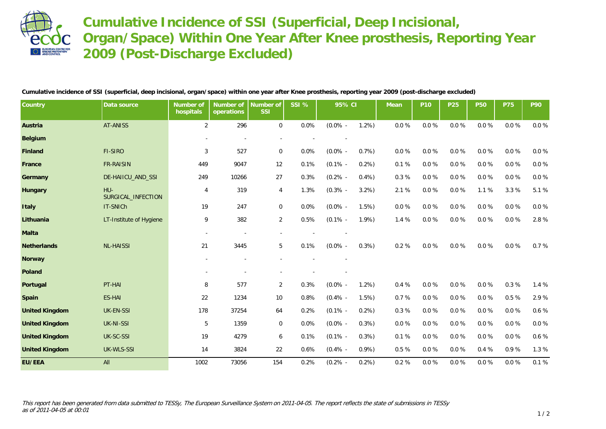

**Cumulative Incidence of SSI (Superficial, Deep Incisional, Organ/Space) Within One Year After Knee prosthesis, Reporting Year 2009 (Post-Discharge Excluded)**

**Cumulative incidence of SSI (superficial, deep incisional, organ/space) within one year after Knee prosthesis, reporting year 2009 (post-discharge excluded)**

| Country               | Data source                 | Number of<br>hospitals   | Number of<br>operations | Number of<br><b>SSI</b> | SSI % | 95% CI     |      | Mean      | P <sub>10</sub> | P25       | <b>P50</b> | <b>P75</b> | P90      |
|-----------------------|-----------------------------|--------------------------|-------------------------|-------------------------|-------|------------|------|-----------|-----------------|-----------|------------|------------|----------|
| Austria               | AT-ANISS                    | $\overline{2}$           | 296                     | $\overline{0}$          | 0.0%  | $(0.0\%$ - | 1.2% | $0.0 \%$  | $0.0 \%$        | $0.0 \%$  | $0.0 \%$   | $0.0 \%$   | $0.0 \%$ |
| Belgium               |                             |                          |                         |                         |       |            |      |           |                 |           |            |            |          |
| Finland               | FI-SIRO                     | 3                        | 527                     | $\mathbf{0}$            | 0.0%  | $(0.0\%$ - | 0.7% | $0.0 \%$  | $0.0 \%$        | 0.0%      | 0.0%       | $0.0 \%$   | $0.0 \%$ |
| France                | <b>FR-RAISIN</b>            | 449                      | 9047                    | 12                      | 0.1%  | $(0.1\%$ - | 0.2% | 0.1%      | $0.0 \%$        | 0.0%      | 0.0%       | $0.0 \%$   | $0.0 \%$ |
| Germany               | DE-HAIICU_AND_SSI           | 249                      | 10266                   | 27                      | 0.3%  | $(0.2\%$ - | 0.4% | 0.3%      | $0.0 \%$        | $0.0\ \%$ | $0.0 \%$   | $0.0\ \%$  | $0.0 \%$ |
| Hungary               | $HU-$<br>SURGICAL INFECTION | 4                        | 319                     | 4                       | 1.3%  | $(0.3\%$ - | 3.2% | 2.1%      | $0.0 \%$        | $0.0 \%$  | 1.1%       | 3.3 %      | 5.1%     |
| Italy                 | IT-SNICh                    | 19                       | 247                     | $\overline{0}$          | 0.0%  | $(0.0\%$ - | 1.5% | $0.0\ \%$ | $0.0 \%$        | $0.0 \%$  | $0.0 \%$   | $0.0 \%$   | 0.0 %    |
| Lithuania             | LT-Institute of Hygiene     | 9                        | 382                     | $\overline{a}$          | 0.5%  | $(0.1\%$ - | 1.9% | 1.4 %     | $0.0 \%$        | $0.0\ \%$ | $0.0 \%$   | $0.0 \%$   | 2.8%     |
| Malta                 |                             | $\overline{\phantom{a}}$ |                         |                         |       |            |      |           |                 |           |            |            |          |
| Netherlands           | <b>NL-HAISSI</b>            | 21                       | 3445                    | 5                       | 0.1%  | $(0.0\%$ - | 0.3% | 0.2%      | $0.0 \%$        | $0.0\ \%$ | $0.0 \%$   | $0.0 \%$   | 0.7%     |
| Norway                |                             |                          |                         |                         |       |            |      |           |                 |           |            |            |          |
| Poland                |                             |                          |                         |                         |       |            |      |           |                 |           |            |            |          |
| Portugal              | PT-HAI                      | 8                        | 577                     | $\overline{2}$          | 0.3%  | $(0.0\% -$ | 1.2% | 0.4%      | $0.0 \%$        | $0.0 \%$  | $0.0 \%$   | 0.3%       | 1.4 %    |
| Spain                 | <b>ES-HAI</b>               | 22                       | 1234                    | 10                      | 0.8%  | $(0.4\% -$ | 1.5% | 0.7%      | $0.0 \%$        | $0.0\ \%$ | $0.0 \%$   | 0.5%       | 2.9%     |
| <b>United Kingdom</b> | <b>UK-EN-SSI</b>            | 178                      | 37254                   | 64                      | 0.2%  | $(0.1\%$ - | 0.2% | 0.3%      | 0.0%            | 0.0%      | 0.0%       | 0.0%       | 0.6%     |
| <b>United Kingdom</b> | <b>UK-NI-SSI</b>            | 5                        | 1359                    | $\overline{0}$          | 0.0%  | $(0.0\%$ - | 0.3% | $0.0 \%$  | 0.0%            | 0.0%      | 0.0%       | 0.0%       | $0.0 \%$ |
| <b>United Kingdom</b> | UK-SC-SSI                   | 19                       | 4279                    | 6                       | 0.1%  | $(0.1\%$ - | 0.3% | 0.1%      | $0.0 \%$        | 0.0%      | 0.0%       | 0.0%       | 0.6%     |
| <b>United Kingdom</b> | UK-WLS-SSI                  | 14                       | 3824                    | 22                      | 0.6%  | $(0.4\%$ - | 0.9% | 0.5%      | $0.0 \%$        | 0.0%      | 0.4 %      | 0.9%       | 1.3 %    |
| EU/EEA                | All                         | 1002                     | 73056                   | 154                     | 0.2%  | $(0.2\%$ - | 0.2% | 0.2%      | 0.0%            | 0.0%      | 0.0%       | 0.0%       | 0.1%     |